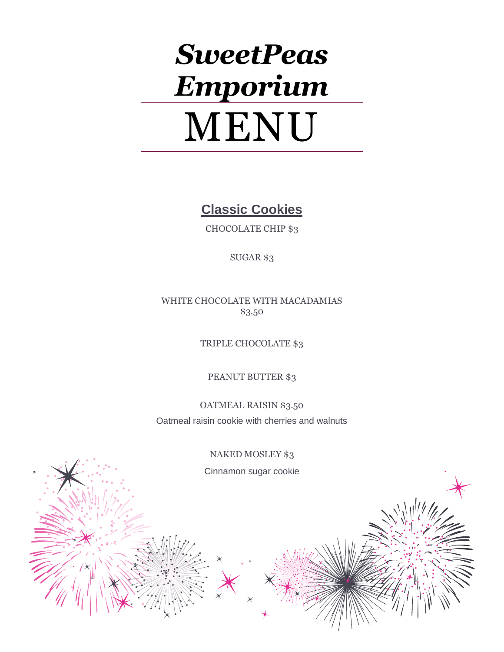# *SweetPeas Emporium* MENU

**Classic Cookies**

CHOCOLATE CHIP \$3

SUGAR \$3

WHITE CHOCOLATE WITH MACADAMIAS \$3.50

TRIPLE CHOCOLATE \$3

PEANUT BUTTER \$3

OATMEAL RAISIN \$3.50 Oatmeal raisin cookie with cherries and walnuts

NAKED MOSLEY \$3

Cinnamon sugar cookie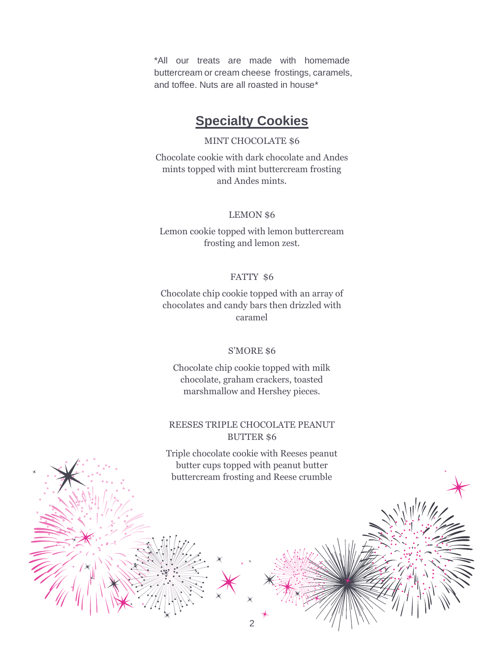\*All our treats are made with homemade buttercream or cream cheese frostings, caramels, and toffee. Nuts are all roasted in house\*

# **Specialty Cookies**

#### MINT CHOCOLATE \$6

Chocolate cookie with dark chocolate and Andes mints topped with mint buttercream frosting and Andes mints.

#### LEMON \$6

Lemon cookie topped with lemon buttercream frosting and lemon zest.

#### FATTY \$6

Chocolate chip cookie topped with an array of chocolates and candy bars then drizzled with caramel

#### S'MORE \$6

Chocolate chip cookie topped with milk chocolate, graham crackers, toasted marshmallow and Hershey pieces.

#### REESES TRIPLE CHOCOLATE PEANUT BUTTER \$6

Triple chocolate cookie with Reeses peanut butter cups topped with peanut butter buttercream frosting and Reese crumble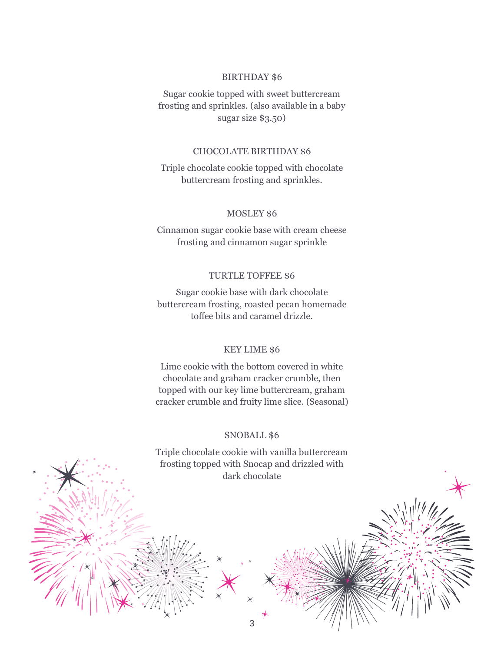#### BIRTHDAY \$6

Sugar cookie topped with sweet buttercream frosting and sprinkles. (also available in a baby sugar size \$3.50)

#### CHOCOLATE BIRTHDAY \$6

Triple chocolate cookie topped with chocolate buttercream frosting and sprinkles.

#### MOSLEY \$6

Cinnamon sugar cookie base with cream cheese frosting and cinnamon sugar sprinkle

#### TURTLE TOFFEE \$6

Sugar cookie base with dark chocolate buttercream frosting, roasted pecan homemade toffee bits and caramel drizzle.

#### KEY LIME \$6

Lime cookie with the bottom covered in white chocolate and graham cracker crumble, then topped with our key lime buttercream, graham cracker crumble and fruity lime slice. (Seasonal)

#### SNOBALL \$6

Triple chocolate cookie with vanilla buttercream frosting topped with Snocap and drizzled with dark chocolate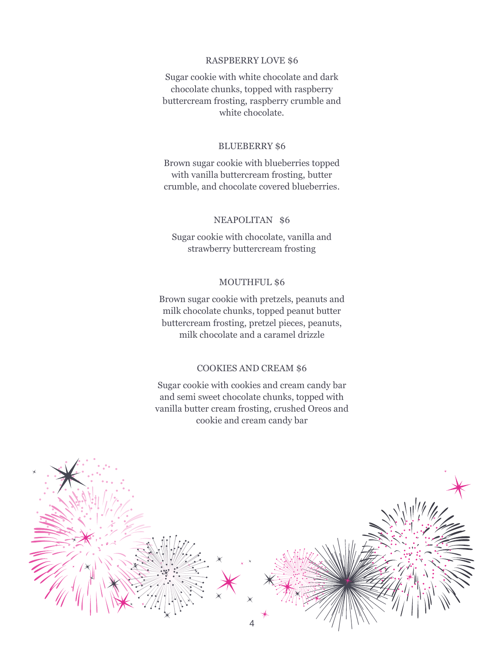#### RASPBERRY LOVE \$6

Sugar cookie with white chocolate and dark chocolate chunks, topped with raspberry buttercream frosting, raspberry crumble and white chocolate.

#### BLUEBERRY \$6

Brown sugar cookie with blueberries topped with vanilla buttercream frosting, butter crumble, and chocolate covered blueberries.

#### NEAPOLITAN \$6

Sugar cookie with chocolate, vanilla and strawberry buttercream frosting

#### MOUTHFUL \$6

Brown sugar cookie with pretzels, peanuts and milk chocolate chunks, topped peanut butter buttercream frosting, pretzel pieces, peanuts, milk chocolate and a caramel drizzle

#### COOKIES AND CREAM \$6

Sugar cookie with cookies and cream candy bar and semi sweet chocolate chunks, topped with vanilla butter cream frosting, crushed Oreos and cookie and cream candy bar

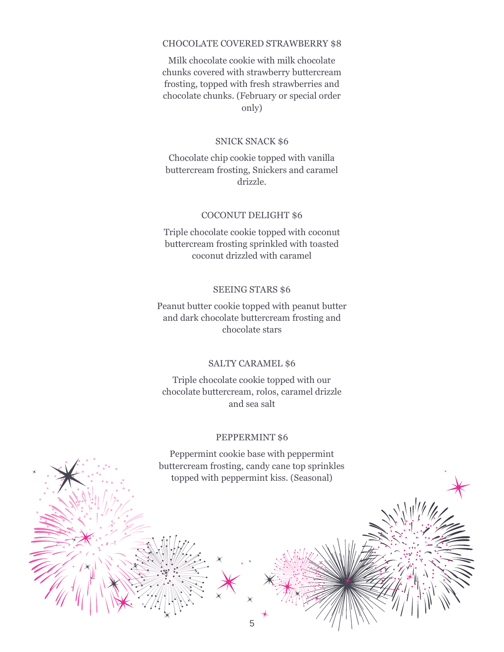#### CHOCOLATE COVERED STRAWBERRY \$8

Milk chocolate cookie with milk chocolate chunks covered with strawberry buttercream frosting, topped with fresh strawberries and chocolate chunks. (February or special order only)

#### SNICK SNACK \$6

Chocolate chip cookie topped with vanilla buttercream frosting, Snickers and caramel drizzle.

#### COCONUT DELIGHT \$6

Triple chocolate cookie topped with coconut buttercream frosting sprinkled with toasted coconut drizzled with caramel

#### SEEING STARS \$6

Peanut butter cookie topped with peanut butter and dark chocolate buttercream frosting and chocolate stars

#### SALTY CARAMEL \$6

Triple chocolate cookie topped with our chocolate buttercream, rolos, caramel drizzle and sea salt

#### PEPPERMINT \$6

Peppermint cookie base with peppermint buttercream frosting, candy cane top sprinkles topped with peppermint kiss. (Seasonal)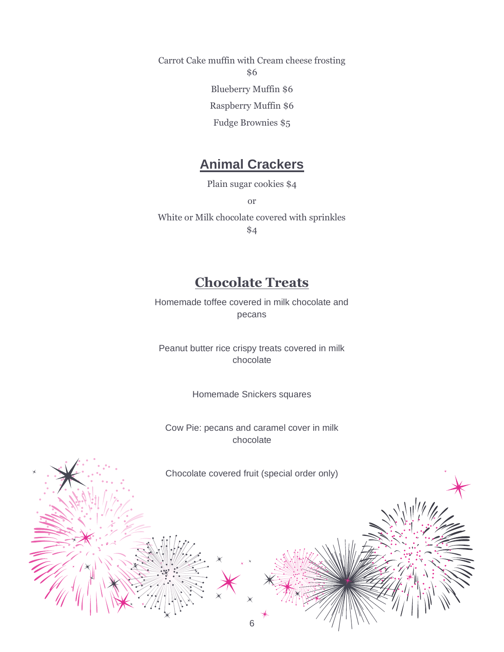Carrot Cake muffin with Cream cheese frosting \$6 Blueberry Muffin \$6 Raspberry Muffin \$6 Fudge Brownies \$5

# **Animal Crackers**

Plain sugar cookies \$4

or

White or Milk chocolate covered with sprinkles \$4

# **Chocolate Treats**

Homemade toffee covered in milk chocolate and pecans

Peanut butter rice crispy treats covered in milk chocolate

Homemade Snickers squares

Cow Pie: pecans and caramel cover in milk chocolate

Chocolate covered fruit (special order only)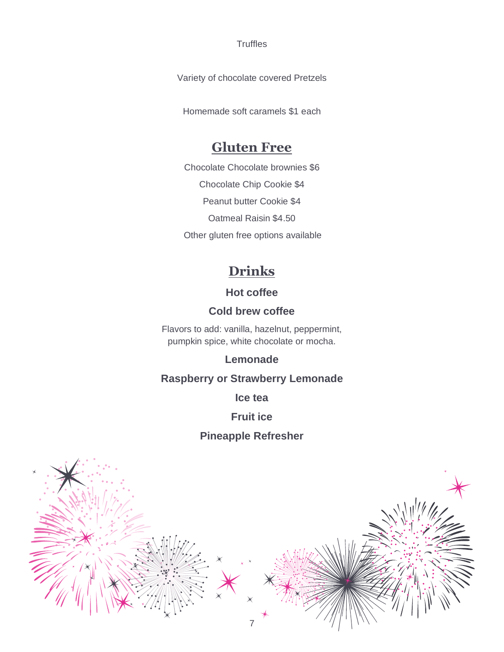**Truffles** 

Variety of chocolate covered Pretzels

Homemade soft caramels \$1 each

# **Gluten Free**

Chocolate Chocolate brownies \$6 Chocolate Chip Cookie \$4 Peanut butter Cookie \$4 Oatmeal Raisin \$4.50 Other gluten free options available

# **Drinks**

# **Hot coffee**

# **Cold brew coffee**

Flavors to add: vanilla, hazelnut, peppermint, pumpkin spice, white chocolate or mocha.

## **Lemonade**

# **Raspberry or Strawberry Lemonade**

**Ice tea**

### **Fruit ice**

# **Pineapple Refresher**